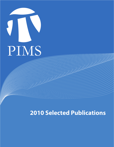

**2010 Selected Publications**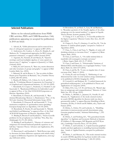## **Selected Publications**

Below we list selected publications from PIMS CRG activities, PDFs and CNRS Researchers. Only publications appearing (or accepted for publication) in 2010 are listed.

1. Adcock, B., "Gibbs phenomenon and its removal for a class of orthogonal expansions," to appear in BIT (2010).

2. Andronescu, M., Condon, A., Hoos, H., Murphy, K. and Mathews, D., "Computational approaches for RNA energy parameter estimation", to appear in RNA Journal (2010).

3. Argerami, M., Farenick, D. and Massey, P., "Injective envelopes and local multiplier algebras of some spatial continuous trace C\*-algebras," to appear in Quarterly J. of Math. (Oxford) (2010).

4. Bailey, R. and Cameron, P., "Base size, metric dimension and other invariants of groups and graphs," to appear in Bull. London Math. Soc. (2010).

5. Balazard, M. and de Roton, A., "Sur un critère de Báez-Duarte pour l'hypothèse de Riemann," Int. J. Number Theory 6 (2010), 883-903 (2010).

6. Baudry, J.P., Raftery, A.E., Celeux, G., Lo, K. and Gottardo, R., "Combining Mixture Components for Clustering", J. of Graphical and Computational Statistics, 19, 332-353 (2010).

7. Berenbrink, P., Cooper, C., Friedetzky, T., Friedrich T. and Sauerwald, T., "Randomized Diffusion for Indivisible Loads," to appear in Proc. of the 22nd ACM-SIAM Symposium on Discrete Algorithms (2010).

8. Berenbrink, P., Elsässer, R., and Sauerwald, T., "Randomised Broadcasting: Memory vs. Randomness," Proc. of the 9th Latin American Theoretical Informatics Symp. (2010).

9. Berenbrink, P., Elsaesser, R. and Sauerwald, T., "Communication complexity of quasirandom rumor spreading," European Symposium on Algorithms, 134-145 (2010).

10. Berenbrink, P., Hoefer, M. and Sauerwald, T., "Distributed Selfish Load Balancing," to appear in Proc. of the 22nd ACM-SIAM Symposium on Discrete Algorithms (2010).

11. Binding P., Browne P. and Karabash I., "Sturm-Liouville problems for the p-Laplacian on a half-line," Proc. Roy. Soc. (Edinburgh) 53, 271-291 (2010).

12. Binding P. and Karabash I., "Absence of existence and uniqueness for forward-backward parabolic equations on a half-line," Operator Theory: Advances and Applications, 203, 89-98 (2010).

13. Braverman E. and Karabash I., "Bohl-Perron type stability theorems for linear difference equations with infinite delay," to appear in Difference Equations and Applications, arxiv.org/ abs/1009.6163 (2010).

14. Brownlowe, N., an Huef, A., Laca, M. and Raeburn, I., "Boundary quotients of the Toeplitz algebra of the affine semigroup over the natural numbers," to appear in Ergodic Theory Dynam. Systems, preprint (2010).

15. Chang, S.-Y. A. and Yuan, Y., "A Liouville problem for the Sigma-2 equations," Discrete Contin. Dyn. Syst., 28, 659- 664 (2010).

16. Chapuy, G., Fusy, É., Giménez, O. and Noy M., "On the diameter of random planar graphs," accepted to Analysis of Algorithms (2010).

17. Chau, A., Chen, J. and Yuan, Y., "Rigidity of entire selfshrinking solutions to curvature flows," to appear in J. Reine Angew. Math. (2010).

18. Chen, J. and Fraser, A., "On stable minimal disks in manifolds with nonnegative isotropic curvature,"

J. Reine Angew. Math. 643, 21–37 (2010).

19. Chen, J. and Fraser, A., "Holomorphic Variations of Minimal Disks with Boundary on a Lagrangian Surface," Canadian J. Math. 62, 1264-1275 (2010).

20. Chen, J. and He, W., "A note on singular time of mean curvature flow," Math. Z. (2010).

21. Choksi, R. and van Gennip, Y., "Deblurring of one dimensional bar codes via total variation energy minimisation," to be published in SIAM J. Imaging Sci. (2010).

22. Crutwell, G. and Shulman, M., "A unified framework for generalized multicategories," to be published in Theory and Applications of Categories (2010).

23. Dales, H.G., Lau, A.T.-M. and Strauss, D., "Banach algebras on semigroups and compactifications," Memoirs of Amer. Math. Soc. 205, 165 pp. (2010).

24. Dobra, A., Briollais, L., Jarjanazi, H., Ozcelik, H. and Massam, H., "Applications of the mode oriented stochastic search (MOSS) algorithm for discrete multi-way data to genomewide studies," to appear Bayesian Modelling in Bioinformatics, (D. Dey, S. Ghosh and B. Mallick, eds.), Taylor and Francis (2010).

25. Dobra, A., Eicher, T.S. and Lenkoski, A., "Modelling uncertainty in macroeconomic growth determinants using Gaussian graphical models," Statistical Methodology, 7, 292- 306 (2010).

26. Dobra, A. and Fienberg, S.E., "The generalized shuttle algorithm," in Algebraic and Geometric Methods in Statistics (P. Gibilisco, E. Riccomagno, M.P. Rogantin and H.P. Wynn eds.), Cambridge University Press, 135-156 (2010).

27. Dobra, A. and Lenkoski, A., Copula Gaussian graphical models and their application to modelling functional disability data. Annals of Applied Statistics, accepted for publication (2010).

28. Dobra, A. and Massam, H., "The mode oriented stochastic search (MOSS) algorithm for log-linear models with conjugate priors," Statistical Methodology, 7, 240-253 (2010).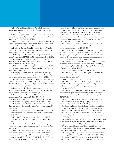29. Dou, Y., Le, N.D. and Zidek, J.V., "Modelling hourly ozone concentration fields," Annals of Applied Statistics, 4, 1183-1213 (2010).

30. Dou, Y., Le, N.D. and Zidek, J.V., "Temporal forecasting with a Bayesian spatial predictor: Application to ozone," invited revision to Applied Statistics (2010).

31. Dou, Y., Le, N.D. and Zidek, J.V., "Temporal forecasting with a Bayesian spatial predictor: Application to ozone," invited revision to Applied Statistics (2010).

32. Droit, A., Cheung, C. and Gottardo, R., "rMAT an R/ Bioconductor package for analyzing ChIP-chip experiments" Bioinformatics, 26, 678-679 (2010).

33. El Smaily, M., "Homogenization of pulsating traveling fronts," accepted to SIAM J. for Mathematical Analysis (2010).

34. El Smaily, M., "Min-Max formulas for the speeds of propagation in heterogeneous media," Annali di Mathematica Pura ed Applicata, 189, 47-66 (2010).

35. El Smaily, M. and Kirsch, S., "Asymptotics of the KPP minimal speed within large drift," Comptes Rendus Mathematique, 348, 857-861 (2010).

36. El Smaily, M. and Kirsch, S., "The speed of propagation for KPP reaction-diffusion equations within large drift," Advances in Differential Equations, 16, 361-400 (2011).

37. Elsässer, R. and Sauerwald, T., "Discrete Load Balancing is (Almost) as Easy as Continuous Load Balancing," Proc. of the 29th ACM SIGACT-SIGOPS Symposium on Principles of Distributed Computing (2010).

38. Emerson, H., "Duality, correspondences and the Lefschetz map in equivariant KK theory: a survey," accepted by Fields Institute Conference Proceedings (2010).

39. Emerson, H. and Meyer, R., "Bivariant K-theory via correspondences," Adv. Math. 225, 2883-2919 (2010).

40. Emerson, H. and Meyer, R., "Dualities in equivariant Kasparov theory," accepted by New York J. Math. (2010).

41. Emerson, H. and Meyer, R., "Equivariant embedding theorems and topological index maps," Adv. Math. 225, 2840- 2882 (2010).

42. Finak, G., Manuel-Perez, J. and Gottardo, R., "Automated transformations for flow cytometry", BMC Bioinformatics, 11, 546 (2010).

43. Fontein, F., "The infrastructure of a global field of arbitrary unit rank, accepted to Mathematics of Computation (2010).

44. Fraser, A. and Schoen, R., "The first Steklov eigenvalue, conformal geometry and minimal surfaces," to appear in Adv. Math. (2010).

45. Friedrich, T. and Sauerwald, T., "The cover time of deterministic random walks," to appear in the 17th Annual International Computing and Combinatorics Conf. (2010).

46. Garmaroudi, F., Marchant, D., Si, X., Khalili, A., Bashashati, A., Wong, B., Tabet, A., Ng, R., Murphy, K., Luo, H.,

Janes, K. and McManus, B., "Pairwise network mechanisms in the host signaling response to coxsackievirus B3 infection," Proc. Natl. Acad. Sciences, 2010, 107, 17053-17058 (2010).

47. Ghosh, P., Muthukumarana, S., Gill, P.S. and Swartz, T.B., "A semiparametric Bayesian approach to network modelling using Dirichlet process priors," Australian and New Zealand J. Statistics, 52, 289-302 (2010).

48. Giordano, T., Matui, H., Putnam, I.F. and Skau, C.F., "Orbit equivalence for Cantor minimal Zd-systems," Inventiones Mathematicae, 179, 119-158 (2010).

49. Goya, R., Sun, M., Morin, R., Leung, G., Ha, G., Wieg, K., Senz, J., Crisan, A., Marra, M., Hirt, M., Huntsman, D., Murphy, K., Aparicio, S. and Shah, S., "SNVMix: predicting single nucleotide variants from next generation sequencing of tumors", to appear in Bioinformatics (2010).

50. Helfgott, H. and de Roton, A., "Improving Roth's theorem in the primes," to appear in Int. Math. Res. Not. (2010).

51. Hoisseini, R., Le, N.D. & Zidek, J.V., "A characterization of categorical Markov chains,"

J. Statistical Theory & Practice, to appear (2010).

52. Kaniuth, E., Lau, A.T.-M. and Ulger, A., "Multipliers of commutative Banach algebras, power boundedness and Fourier-Stieltjes algebras,"

J. London Math. Soc. 81, 233-275 (2010).

53. Kaniuth, E., Lau, A.T. –M. and Ulger, A., "Power bounded in the Fourier algebra and Fourier Stieltjes algebras and other commutative Banach algebras," to appear in J. Functional Analysis (2010).

54. Karabash I., "A functional model, eigenvalues, and finite singular critical points for indefinite Sturm-Liouville operators," Operator Theory: Advances and Applications, 203, 247-287 (2010).

55. Keet, A., Fortescue, B., Markham, D. and Sanders, B.C.. "Quantum secret sharing with qudit graph states," arXiv:1004.4619, in press Phys. Rev. A (2010).

56. Kenig, C., Lamm, T., Pollack, D., Staffilani, G. and Toro, T., "The Cauchy problem for Schodinger flows into Kahler manifolds," Discrete Contin. Dyn. Syst., 27, 389-439 (2010).

57. Khan, M.E., Marlin, B., Bouchard, G. and Murphy, K., "Variational bounds for mixed-data factor analysis," to appear in NIPS (2010).

58. Kunduri, H.K. and Lucietti, J., "An infinite class of extremal horizons in higher dimensions," arXiv:1002.4656 [hep-th], accepted in Comm. Math. Phys. (2010).

59. Laca, M. and Raeburn, I., "Phase transition on the Toeplitz algebra of the affine semigroup over the natural numbers," Adv. Math. 225, 643-688 (2010).

60. Lamm, T., "Energy identity for approximations of harmonic maps," Trans. Amer. Math. Soc. 362, 4077-4097 (2010).

61. Lamm, T. and Metzger, J., Small surfaces of Willmore type in Riemannian manifolds, Int. Math. Res. Not. 19, 3786-